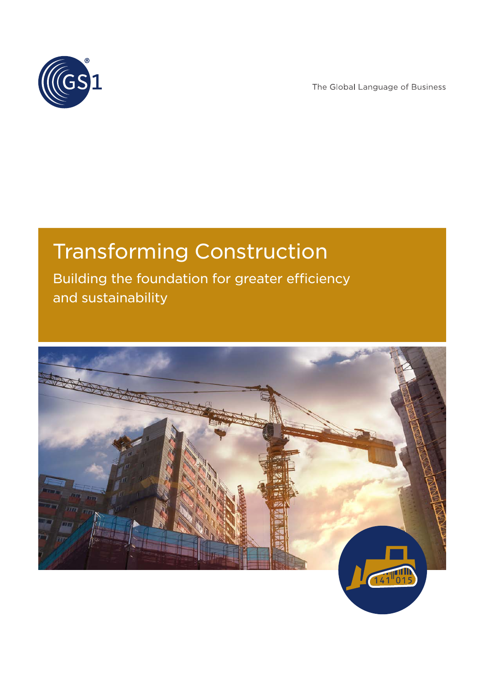

The Global Language of Business

# Transforming Construction

Building the foundation for greater efficiency and sustainability

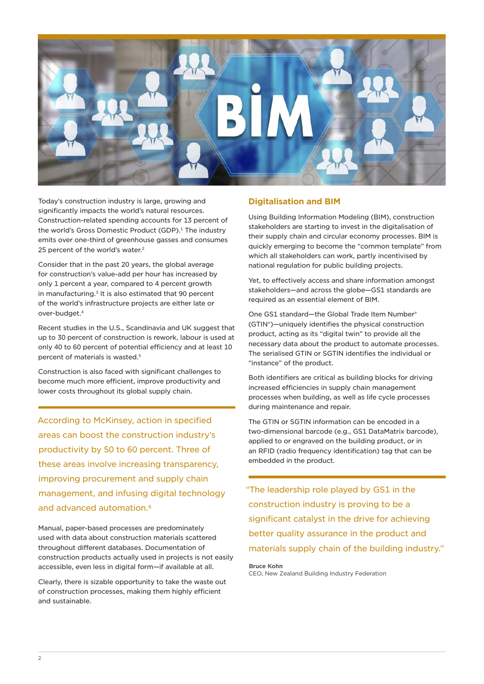<span id="page-1-0"></span>

Today's construction industry is large, growing and significantly impacts the world's natural resources. Construction-related spending accounts for 13 percent of the world's Gross Domestic Product (GDP).<sup>1</sup> The industry emits over one-third of greenhouse gasses and consumes [2](#page-3-0)5 percent of the world's water.<sup>2</sup>

Consider that in the past 20 years, the global average for construction's value-add per hour has increased by only 1 percent a year, compared to 4 percent growth in manufacturing.<sup>3</sup> It is also estimated that 90 percent of the world's infrastructure projects are either late or over-budget.<sup>4</sup>

Recent studies in the U.S., Scandinavia and UK suggest that up to 30 percent of construction is rework, labour is used at only 40 to 60 percent of potential efficiency and at least 10 percent of materials is wasted.[5](#page-3-0)

Construction is also faced with significant challenges to become much more efficient, improve productivity and lower costs throughout its global supply chain.

According to McKinsey, action in specified areas can boost the construction industry's productivity by 50 to 60 percent. Three of these areas involve increasing transparency, improving procurement and supply chain management, and infusing digital technology and advanced automation.<sup>6</sup>

Manual, paper-based processes are predominately used with data about construction materials scattered throughout different databases. Documentation of construction products actually used in projects is not easily accessible, even less in digital form—if available at all.

Clearly, there is sizable opportunity to take the waste out of construction processes, making them highly efficient and sustainable.

# **Digitalisation and BIM**

Using Building Information Modeling (BIM), construction stakeholders are starting to invest in the digitalisation of their supply chain and circular economy processes. BIM is quickly emerging to become the "common template" from which all stakeholders can work, partly incentivised by national regulation for public building projects.

Yet, to effectively access and share information amongst stakeholders—and across the globe—GS1 standards are required as an essential element of BIM.

One GS1 standard—the Global Trade Item Number® (GTIN®)—uniquely identifies the physical construction product, acting as its "digital twin" to provide all the necessary data about the product to automate processes. The serialised GTIN or SGTIN identifies the individual or "instance" of the product.

Both identifiers are critical as building blocks for driving increased efficiencies in supply chain management processes when building, as well as life cycle processes during maintenance and repair.

The GTIN or SGTIN information can be encoded in a two-dimensional barcode (e.g., GS1 DataMatrix barcode), applied to or engraved on the building product, or in an RFID (radio frequency identification) tag that can be embedded in the product.

"The leadership role played by GS1 in the construction industry is proving to be a significant catalyst in the drive for achieving better quality assurance in the product and materials supply chain of the building industry."

#### **Bruce Kohn**

CEO, New Zealand Building Industry Federation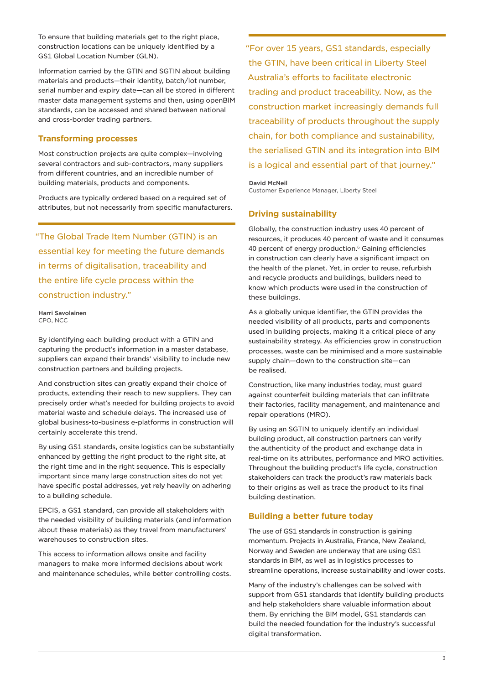<span id="page-2-0"></span>To ensure that building materials get to the right place, construction locations can be uniquely identified by a GS1 Global Location Number (GLN).

Information carried by the GTIN and SGTIN about building materials and products—their identity, batch/lot number, serial number and expiry date—can all be stored in different master data management systems and then, using openBIM standards, can be accessed and shared between national and cross‑border trading partners.

# **Transforming processes**

Most construction projects are quite complex—involving several contractors and sub-contractors, many suppliers from different countries, and an incredible number of building materials, products and components.

Products are typically ordered based on a required set of attributes, but not necessarily from specific manufacturers.

"The Global Trade Item Number (GTIN) is an essential key for meeting the future demands in terms of digitalisation, traceability and the entire life cycle process within the construction industry."

**Harri Savolainen** CPO, NCC

By identifying each building product with a GTIN and capturing the product's information in a master database, suppliers can expand their brands' visibility to include new construction partners and building projects.

And construction sites can greatly expand their choice of products, extending their reach to new suppliers. They can precisely order what's needed for building projects to avoid material waste and schedule delays. The increased use of global business-to-business e-platforms in construction will certainly accelerate this trend.

By using GS1 standards, onsite logistics can be substantially enhanced by getting the right product to the right site, at the right time and in the right sequence. This is especially important since many large construction sites do not yet have specific postal addresses, yet rely heavily on adhering to a building schedule.

EPCIS, a GS1 standard, can provide all stakeholders with the needed visibility of building materials (and information about these materials) as they travel from manufacturers' warehouses to construction sites.

This access to information allows onsite and facility managers to make more informed decisions about work and maintenance schedules, while better controlling costs. "For over 15 years, GS1 standards, especially the GTIN, have been critical in Liberty Steel Australia's efforts to facilitate electronic trading and product traceability. Now, as the construction market increasingly demands full traceability of products throughout the supply chain, for both compliance and sustainability, the serialised GTIN and its integration into BIM is a logical and essential part of that journey."

**David McNeil** Customer Experience Manager, Liberty Steel

#### **Driving sustainability**

Globally, the construction industry uses 40 percent of resources, it produces 40 percent of waste and it consumes 40 percent of energy production.<sup>6</sup> Gaining efficiencies in construction can clearly have a significant impact on the health of the planet. Yet, in order to reuse, refurbish and recycle products and buildings, builders need to know which products were used in the construction of these buildings.

As a globally unique identifier, the GTIN provides the needed visibility of all products, parts and components used in building projects, making it a critical piece of any sustainability strategy. As efficiencies grow in construction processes, waste can be minimised and a more sustainable supply chain—down to the construction site—can be realised.

Construction, like many industries today, must guard against counterfeit building materials that can infiltrate their factories, facility management, and maintenance and repair operations (MRO).

By using an SGTIN to uniquely identify an individual building product, all construction partners can verify the authenticity of the product and exchange data in real-time on its attributes, performance and MRO activities. Throughout the building product's life cycle, construction stakeholders can track the product's raw materials back to their origins as well as trace the product to its final building destination.

## **Building a better future today**

The use of GS1 standards in construction is gaining momentum. Projects in Australia, France, New Zealand, Norway and Sweden are underway that are using GS1 standards in BIM, as well as in logistics processes to streamline operations, increase sustainability and lower costs.

Many of the industry's challenges can be solved with support from GS1 standards that identify building products and help stakeholders share valuable information about them. By enriching the BIM model, GS1 standards can build the needed foundation for the industry's successful digital transformation.